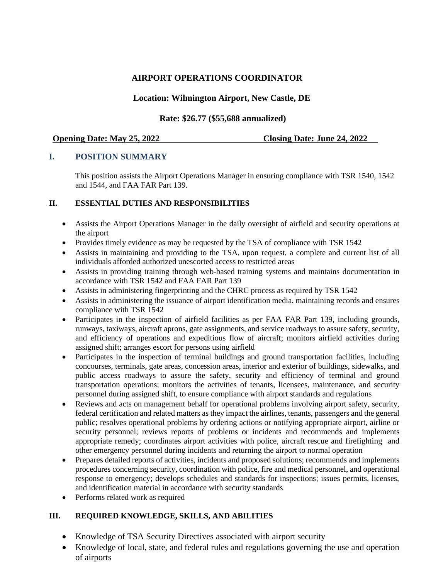# **AIRPORT OPERATIONS COORDINATOR**

# **Location: Wilmington Airport, New Castle, DE**

## **Rate: \$26.77 (\$55,688 annualized)**

**Opening Date: May 25, 2022 Closing Date: June 24, 2022**

# **I. POSITION SUMMARY**

This position assists the Airport Operations Manager in ensuring compliance with TSR 1540, 1542 and 1544, and FAA FAR Part 139.

### **II. ESSENTIAL DUTIES AND RESPONSIBILITIES**

- Assists the Airport Operations Manager in the daily oversight of airfield and security operations at the airport
- Provides timely evidence as may be requested by the TSA of compliance with TSR 1542
- Assists in maintaining and providing to the TSA, upon request, a complete and current list of all individuals afforded authorized unescorted access to restricted areas
- Assists in providing training through web-based training systems and maintains documentation in accordance with TSR 1542 and FAA FAR Part 139
- Assists in administering fingerprinting and the CHRC process as required by TSR 1542
- Assists in administering the issuance of airport identification media, maintaining records and ensures compliance with TSR 1542
- Participates in the inspection of airfield facilities as per FAA FAR Part 139, including grounds, runways, taxiways, aircraft aprons, gate assignments, and service roadways to assure safety, security, and efficiency of operations and expeditious flow of aircraft; monitors airfield activities during assigned shift; arranges escort for persons using airfield
- Participates in the inspection of terminal buildings and ground transportation facilities, including concourses, terminals, gate areas, concession areas, interior and exterior of buildings, sidewalks, and public access roadways to assure the safety, security and efficiency of terminal and ground transportation operations; monitors the activities of tenants, licensees, maintenance, and security personnel during assigned shift, to ensure compliance with airport standards and regulations
- Reviews and acts on management behalf for operational problems involving airport safety, security, federal certification and related matters as they impact the airlines, tenants, passengers and the general public; resolves operational problems by ordering actions or notifying appropriate airport, airline or security personnel; reviews reports of problems or incidents and recommends and implements appropriate remedy; coordinates airport activities with police, aircraft rescue and firefighting and other emergency personnel during incidents and returning the airport to normal operation
- Prepares detailed reports of activities, incidents and proposed solutions; recommends and implements procedures concerning security, coordination with police, fire and medical personnel, and operational response to emergency; develops schedules and standards for inspections; issues permits, licenses, and identification material in accordance with security standards
- Performs related work as required

## **III. REQUIRED KNOWLEDGE, SKILLS, AND ABILITIES**

- Knowledge of TSA Security Directives associated with airport security
- Knowledge of local, state, and federal rules and regulations governing the use and operation of airports